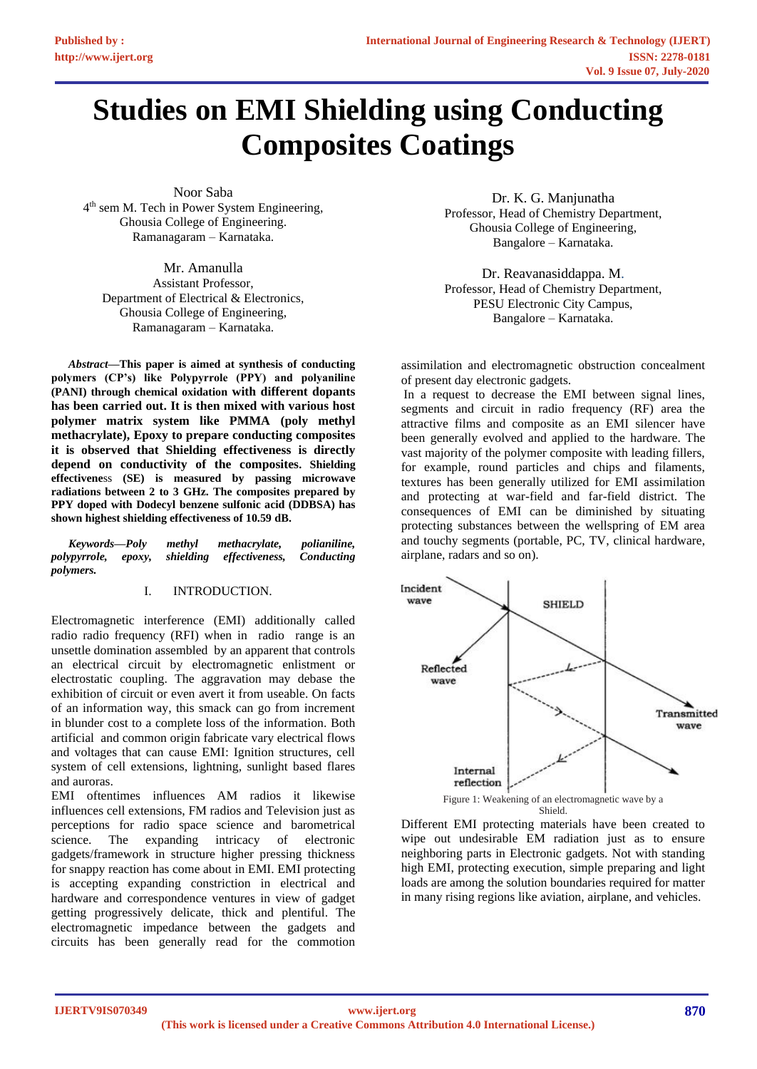# **Studies on EMI Shielding using Conducting Composites Coatings**

Noor Saba 4<sup>th</sup> sem M. Tech in Power System Engineering, Ghousia College of Engineering. Ramanagaram – Karnataka.

Mr. Amanulla Assistant Professor, Department of Electrical & Electronics, Ghousia College of Engineering, Ramanagaram – Karnataka.

*Abstract***—This paper is aimed at synthesis of conducting polymers (CP's) like Polypyrrole (PPY) and polyaniline (PANI) through chemical oxidation with different dopants has been carried out. It is then mixed with various host polymer matrix system like PMMA (poly methyl methacrylate), Epoxy to prepare conducting composites it is observed that Shielding effectiveness is directly depend on conductivity of the composites. Shielding effectivene**ss **(SE) is measured by passing microwave radiations between 2 to 3 GHz. The composites prepared by PPY doped with Dodecyl benzene sulfonic acid (DDBSA) has shown highest shielding effectiveness of 10.59 dB.**

*Keywords—Poly methyl methacrylate, polianiline, polypyrrole, epoxy, shielding effectiveness, Conducting polymers.*

# I. INTRODUCTION.

Electromagnetic interference (EMI) additionally called radio radio frequency (RFI) when in radio range is an unsettle domination assembled by an apparent that controls an electrical circuit by electromagnetic enlistment or electrostatic coupling. The aggravation may debase the exhibition of circuit or even avert it from useable. On facts of an information way, this smack can go from increment in blunder cost to a complete loss of the information. Both artificial and common origin fabricate vary electrical flows and voltages that can cause EMI: Ignition structures, cell system of cell extensions, lightning, sunlight based flares and auroras.

EMI oftentimes influences AM radios it likewise influences cell extensions, FM radios and Television just as perceptions for radio space science and barometrical science. The expanding intricacy of electronic gadgets/framework in structure higher pressing thickness for snappy reaction has come about in EMI. EMI protecting is accepting expanding constriction in electrical and hardware and correspondence ventures in view of gadget getting progressively delicate, thick and plentiful. The electromagnetic impedance between the gadgets and circuits has been generally read for the commotion

Dr. K. G. Manjunatha Professor, Head of Chemistry Department, Ghousia College of Engineering, Bangalore – Karnataka.

Dr. Reavanasiddappa. M. Professor, Head of Chemistry Department, PESU Electronic City Campus, Bangalore – Karnataka.

assimilation and electromagnetic obstruction concealment of present day electronic gadgets.

In a request to decrease the EMI between signal lines, segments and circuit in radio frequency (RF) area the attractive films and composite as an EMI silencer have been generally evolved and applied to the hardware. The vast majority of the polymer composite with leading fillers, for example, round particles and chips and filaments, textures has been generally utilized for EMI assimilation and protecting at war-field and far-field district. The consequences of EMI can be diminished by situating protecting substances between the wellspring of EM area and touchy segments (portable, PC, TV, clinical hardware, airplane, radars and so on).



Different EMI protecting materials have been created to wipe out undesirable EM radiation just as to ensure neighboring parts in Electronic gadgets. Not with standing high EMI, protecting execution, simple preparing and light loads are among the solution boundaries required for matter in many rising regions like aviation, airplane, and vehicles.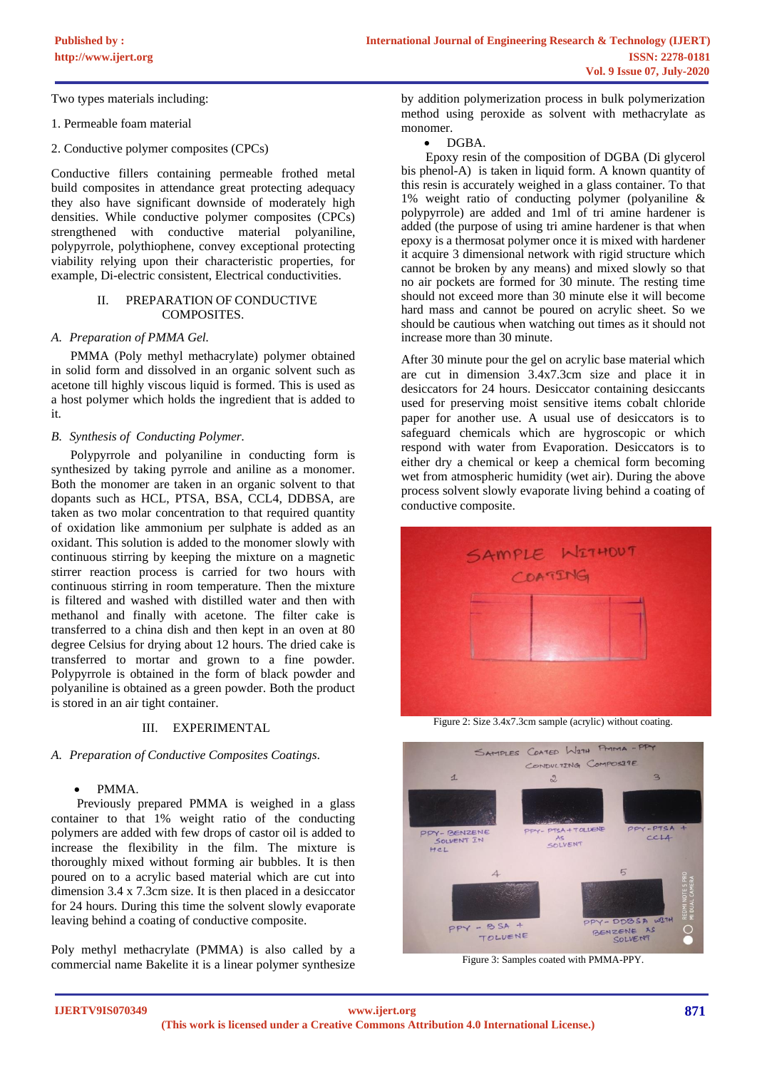Two types materials including:

- 1. Permeable foam material
- 2. Conductive polymer composites (CPCs)

Conductive fillers containing permeable frothed metal build composites in attendance great protecting adequacy they also have significant downside of moderately high densities. While conductive polymer composites (CPCs) strengthened with conductive material polyaniline, polypyrrole, polythiophene, convey exceptional protecting viability relying upon their characteristic properties, for example, Di-electric consistent, Electrical conductivities.

# II. PREPARATION OF CONDUCTIVE COMPOSITES.

#### *A. Preparation of PMMA Gel.*

 PMMA (Poly methyl methacrylate) polymer obtained in solid form and dissolved in an organic solvent such as acetone till highly viscous liquid is formed. This is used as a host polymer which holds the ingredient that is added to it.

### *B. Synthesis of Conducting Polymer.*

 Polypyrrole and polyaniline in conducting form is synthesized by taking pyrrole and aniline as a monomer. Both the monomer are taken in an organic solvent to that dopants such as HCL, PTSA, BSA, CCL4, DDBSA, are taken as two molar concentration to that required quantity of oxidation like ammonium per sulphate is added as an oxidant. This solution is added to the monomer slowly with continuous stirring by keeping the mixture on a magnetic stirrer reaction process is carried for two hours with continuous stirring in room temperature. Then the mixture is filtered and washed with distilled water and then with methanol and finally with acetone. The filter cake is transferred to a china dish and then kept in an oven at 80 degree Celsius for drying about 12 hours. The dried cake is transferred to mortar and grown to a fine powder. Polypyrrole is obtained in the form of black powder and polyaniline is obtained as a green powder. Both the product is stored in an air tight container.

## III. EXPERIMENTAL

#### *A. Preparation of Conductive Composites Coatings.*

#### • PMMA.

 Previously prepared PMMA is weighed in a glass container to that 1% weight ratio of the conducting polymers are added with few drops of castor oil is added to increase the flexibility in the film. The mixture is thoroughly mixed without forming air bubbles. It is then poured on to a acrylic based material which are cut into dimension 3.4 x 7.3cm size. It is then placed in a desiccator for 24 hours. During this time the solvent slowly evaporate leaving behind a coating of conductive composite.

Poly methyl methacrylate (PMMA) is also called by a commercial name Bakelite it is a linear polymer synthesize

by addition polymerization process in bulk polymerization method using peroxide as solvent with methacrylate as monomer.

#### • DGBA.

 Epoxy resin of the composition of DGBA (Di glycerol bis phenol-A) is taken in liquid form. A known quantity of this resin is accurately weighed in a glass container. To that 1% weight ratio of conducting polymer (polyaniline & polypyrrole) are added and 1ml of tri amine hardener is added (the purpose of using tri amine hardener is that when epoxy is a thermosat polymer once it is mixed with hardener it acquire 3 dimensional network with rigid structure which cannot be broken by any means) and mixed slowly so that no air pockets are formed for 30 minute. The resting time should not exceed more than 30 minute else it will become hard mass and cannot be poured on acrylic sheet. So we should be cautious when watching out times as it should not increase more than 30 minute.

After 30 minute pour the gel on acrylic base material which are cut in dimension 3.4x7.3cm size and place it in desiccators for 24 hours. Desiccator containing desiccants used for preserving moist sensitive items cobalt chloride paper for another use. A usual use of desiccators is to safeguard chemicals which are hygroscopic or which respond with water from Evaporation. Desiccators is to either dry a chemical or keep a chemical form becoming wet from atmospheric humidity (wet air). During the above process solvent slowly evaporate living behind a coating of conductive composite.



Figure 2: Size 3.4x7.3cm sample (acrylic) without coating.



Figure 3: Samples coated with PMMA-PPY.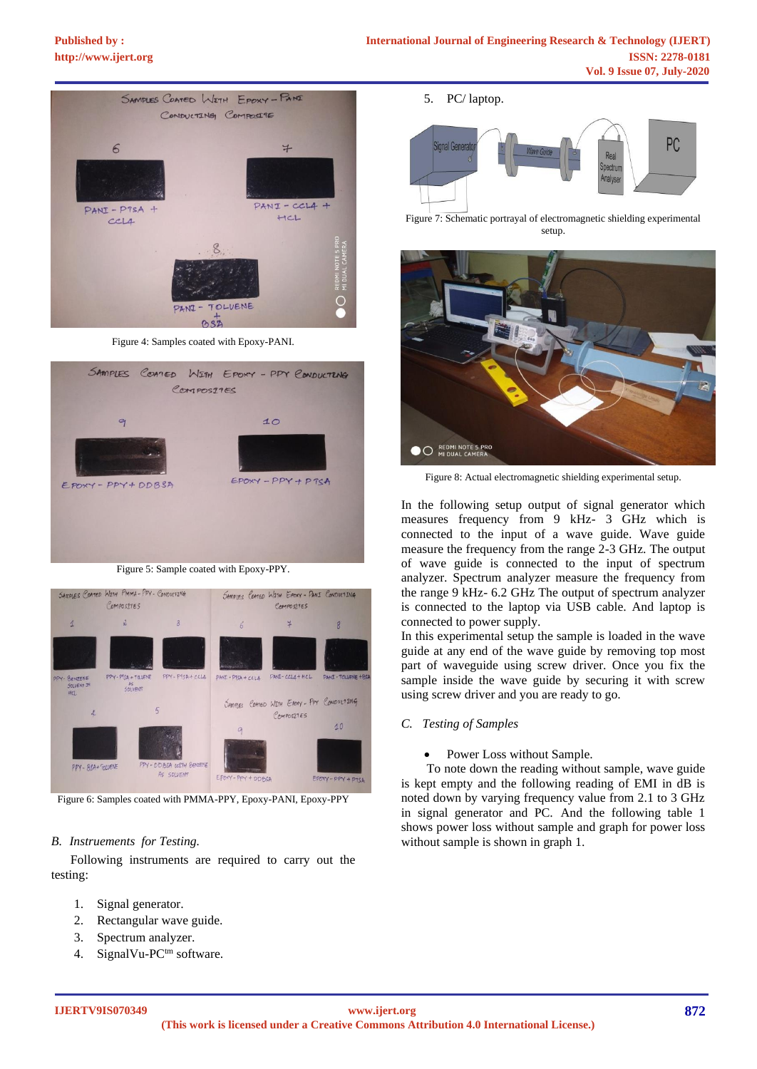# **[Published by :](www.ijert.org)**



Figure 4: Samples coated with Epoxy-PANI.



Figure 5: Sample coated with Epoxy-PPY.



Figure 6: Samples coated with PMMA-PPY, Epoxy-PANI, Epoxy-PPY

#### *B. Instruements for Testing.*

 Following instruments are required to carry out the testing:

- 1. Signal generator.
- 2. Rectangular wave guide.
- 3. Spectrum analyzer.
- 4. SignalVu-PCtm software.

5. PC/ laptop.



Figure 7: Schematic portrayal of electromagnetic shielding experimental setup.



Figure 8: Actual electromagnetic shielding experimental setup.

In the following setup output of signal generator which measures frequency from 9 kHz- 3 GHz which is connected to the input of a wave guide. Wave guide measure the frequency from the range 2-3 GHz. The output of wave guide is connected to the input of spectrum analyzer. Spectrum analyzer measure the frequency from the range 9 kHz- 6.2 GHz The output of spectrum analyzer is connected to the laptop via USB cable. And laptop is connected to power supply.

In this experimental setup the sample is loaded in the wave guide at any end of the wave guide by removing top most part of waveguide using screw driver. Once you fix the sample inside the wave guide by securing it with screw using screw driver and you are ready to go.

#### *C. Testing of Samples*

#### Power Loss without Sample.

 To note down the reading without sample, wave guide is kept empty and the following reading of EMI in dB is noted down by varying frequency value from 2.1 to 3 GHz in signal generator and PC. And the following table 1 shows power loss without sample and graph for power loss without sample is shown in graph 1.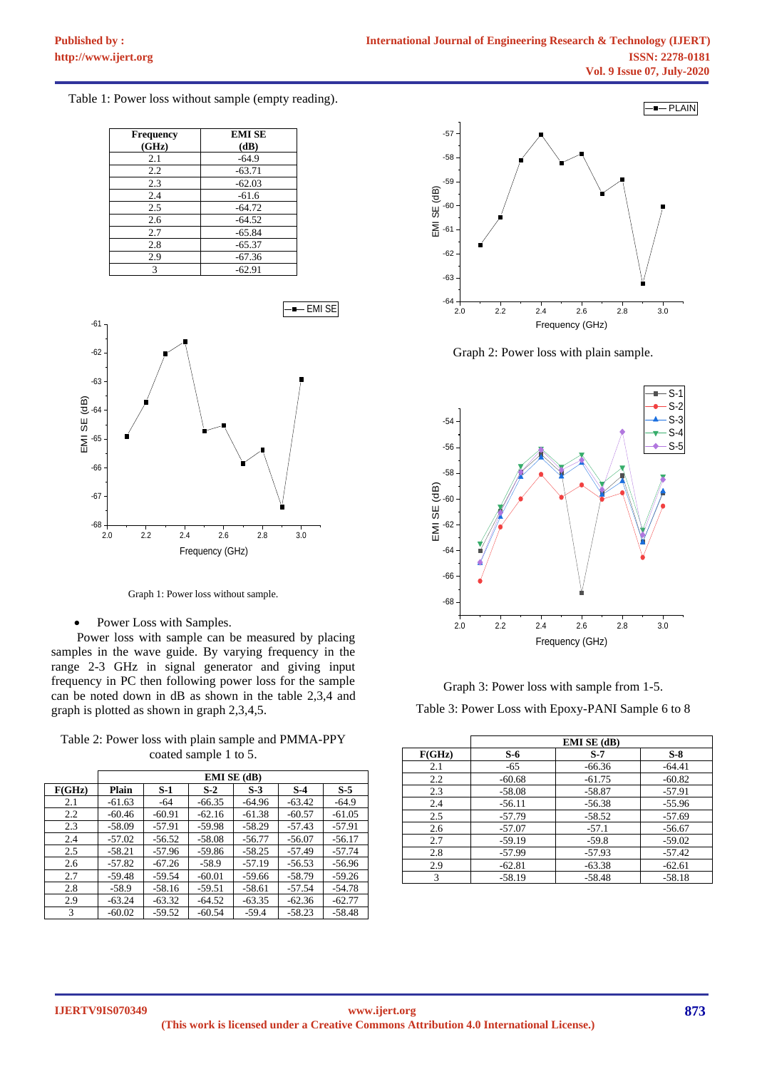Table 1: Power loss without sample (empty reading).

| <b>Frequency</b> | <b>EMI SE</b> |
|------------------|---------------|
| (GHz)            | (dB)          |
| 2.1              | $-64.9$       |
| 2.2              | $-63.71$      |
| 2.3              | $-62.03$      |
| 2.4              | $-61.6$       |
| 2.5              | $-64.72$      |
| 2.6              | $-64.52$      |
| 2.7              | $-65.84$      |
| 2.8              | $-65.37$      |
| 2.9              | $-67.36$      |
| 3                | $-62.91$      |



Graph 1: Power loss without sample.

Power Loss with Samples.

 Power loss with sample can be measured by placing samples in the wave guide. By varying frequency in the range 2-3 GHz in signal generator and giving input frequency in PC then following power loss for the sample can be noted down in dB as shown in the table 2,3,4 and graph is plotted as shown in graph 2,3,4,5.

Table 2: Power loss with plain sample and PMMA-PPY coated sample 1 to 5.

|        | <b>EMI SE (dB)</b> |          |          |          |          |          |  |
|--------|--------------------|----------|----------|----------|----------|----------|--|
| F(GHz) | Plain              | S-1      | $S-2$    | $S-3$    | $S-4$    | $S-5$    |  |
| 2.1    | $-61.63$           | -64      | $-66.35$ | $-64.96$ | $-63.42$ | $-64.9$  |  |
| 2.2    | $-60.46$           | $-60.91$ | $-62.16$ | $-61.38$ | $-60.57$ | $-61.05$ |  |
| 2.3    | $-58.09$           | $-57.91$ | -59.98   | $-58.29$ | $-57.43$ | $-57.91$ |  |
| 2.4    | $-57.02$           | $-56.52$ | $-58.08$ | $-56.77$ | $-56.07$ | $-56.17$ |  |
| 2.5    | $-58.21$           | $-57.96$ | -59.86   | $-58.25$ | $-57.49$ | $-57.74$ |  |
| 2.6    | $-57.82$           | $-67.26$ | $-58.9$  | $-57.19$ | $-56.53$ | $-56.96$ |  |
| 2.7    | -59.48             | $-59.54$ | $-60.01$ | $-59.66$ | $-58.79$ | $-59.26$ |  |
| 2.8    | $-58.9$            | $-58.16$ | $-59.51$ | -58.61   | $-57.54$ | -54.78   |  |
| 2.9    | $-63.24$           | $-63.32$ | $-64.52$ | $-63.35$ | $-62.36$ | $-62.77$ |  |
| 3      | $-60.02$           | $-59.52$ | $-60.54$ | $-59.4$  | $-58.23$ | $-58.48$ |  |



Graph 2: Power loss with plain sample.



Graph 3: Power loss with sample from 1-5. Table 3: Power Loss with Epoxy-PANI Sample 6 to 8

|        |          | <b>EMI SE (dB)</b> |          |
|--------|----------|--------------------|----------|
| F(GHz) | S-6      | $S-7$              | $S-8$    |
| 2.1    | $-65$    | $-66.36$           | $-64.41$ |
| 2.2    | $-60.68$ | $-61.75$           | $-60.82$ |
| 2.3    | $-58.08$ | $-58.87$           | $-57.91$ |
| 2.4    | $-56.11$ | $-56.38$           | $-55.96$ |
| 2.5    | $-57.79$ | $-58.52$           | $-57.69$ |
| 2.6    | $-57.07$ | $-57.1$            | $-56.67$ |
| 2.7    | $-59.19$ | $-59.8$            | $-59.02$ |
| 2.8    | $-57.99$ | $-57.93$           | $-57.42$ |
| 2.9    | $-62.81$ | $-63.38$           | $-62.61$ |
| 3      | $-58.19$ | $-58.48$           | $-58.18$ |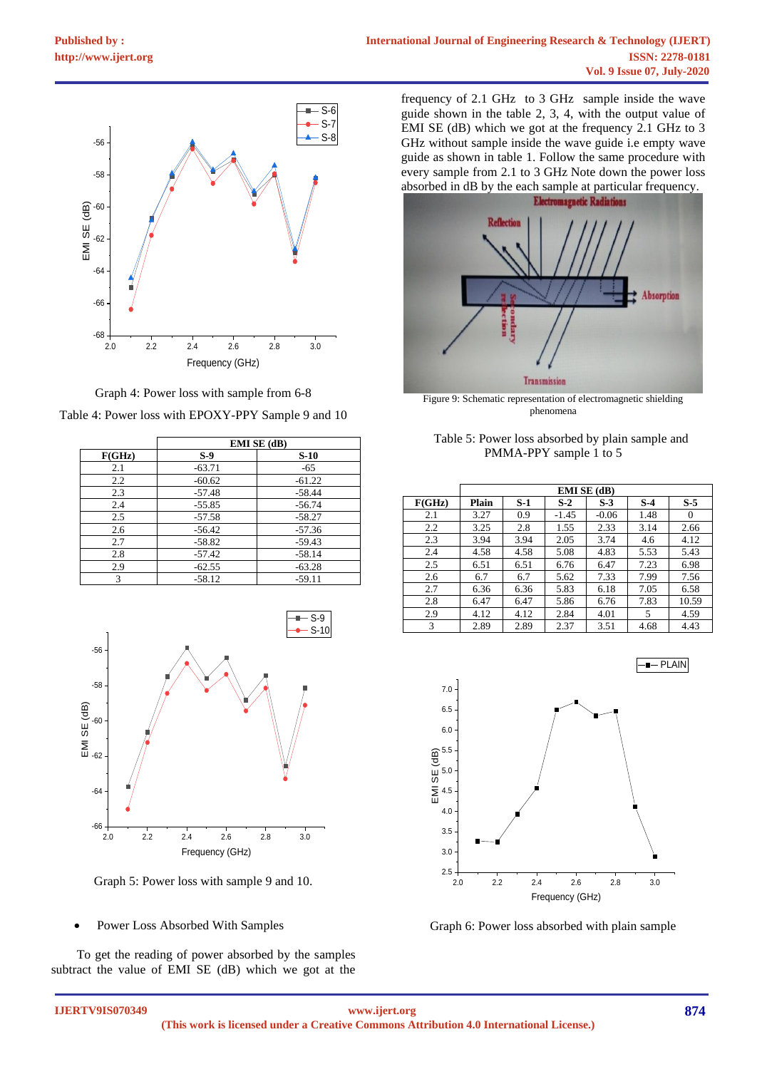



|        | EMI SE (dB) |          |  |  |  |
|--------|-------------|----------|--|--|--|
| F(GHz) | $S-9$       | $S-10$   |  |  |  |
| 2.1    | $-63.71$    | -65      |  |  |  |
| 2.2    | $-60.62$    | $-61.22$ |  |  |  |
| 2.3    | $-57.48$    | $-58.44$ |  |  |  |
| 2.4    | $-55.85$    | $-56.74$ |  |  |  |
| 2.5    | $-57.58$    | $-58.27$ |  |  |  |
| 2.6    | $-56.42$    | $-57.36$ |  |  |  |
| 2.7    | $-58.82$    | $-59.43$ |  |  |  |
| 2.8    | $-57.42$    | $-58.14$ |  |  |  |
| 2.9    | $-62.55$    | $-63.28$ |  |  |  |
| 3      | $-58.12$    | $-59.11$ |  |  |  |



Graph 5: Power loss with sample 9 and 10.

• Power Loss Absorbed With Samples

 To get the reading of power absorbed by the samples subtract the value of EMI SE (dB) which we got at the

 $S-6$  guide shown in the table 2, 3, 4, with the output value of  $\mathbb{R}^{5.7}$  EMI SE (dB) which we got at the frequency 2.1 GHz to 3 S-8 GHz without sample inside the wave guide i.e empty wave frequency of 2.1 GHz to 3 GHz sample inside the wave guide as shown in table 1. Follow the same procedure with every sample from 2.1 to 3 GHz Note down the power loss absorbed in dB by the each sample at particular frequency.



Figure 9: Schematic representation of electromagnetic shielding phenomena

| Table 5: Power loss absorbed by plain sample and |  |
|--------------------------------------------------|--|
| PMMA-PPY sample 1 to 5                           |  |

|        | <b>EMI SE (dB)</b> |      |         |         |       |          |
|--------|--------------------|------|---------|---------|-------|----------|
| F(GHz) | Plain              | S-1  | $S-2$   | $S-3$   | $S-4$ | $S-5$    |
| 2.1    | 3.27               | 0.9  | $-1.45$ | $-0.06$ | 1.48  | $\Omega$ |
| 2.2    | 3.25               | 2.8  | 1.55    | 2.33    | 3.14  | 2.66     |
| 2.3    | 3.94               | 3.94 | 2.05    | 3.74    | 4.6   | 4.12     |
| 2.4    | 4.58               | 4.58 | 5.08    | 4.83    | 5.53  | 5.43     |
| 2.5    | 6.51               | 6.51 | 6.76    | 6.47    | 7.23  | 6.98     |
| 2.6    | 6.7                | 6.7  | 5.62    | 7.33    | 7.99  | 7.56     |
| 2.7    | 6.36               | 6.36 | 5.83    | 6.18    | 7.05  | 6.58     |
| 2.8    | 6.47               | 6.47 | 5.86    | 6.76    | 7.83  | 10.59    |
| 2.9    | 4.12               | 4.12 | 2.84    | 4.01    | 5     | 4.59     |
| 3      | 2.89               | 2.89 | 2.37    | 3.51    | 4.68  | 4.43     |



Graph 6: Power loss absorbed with plain sample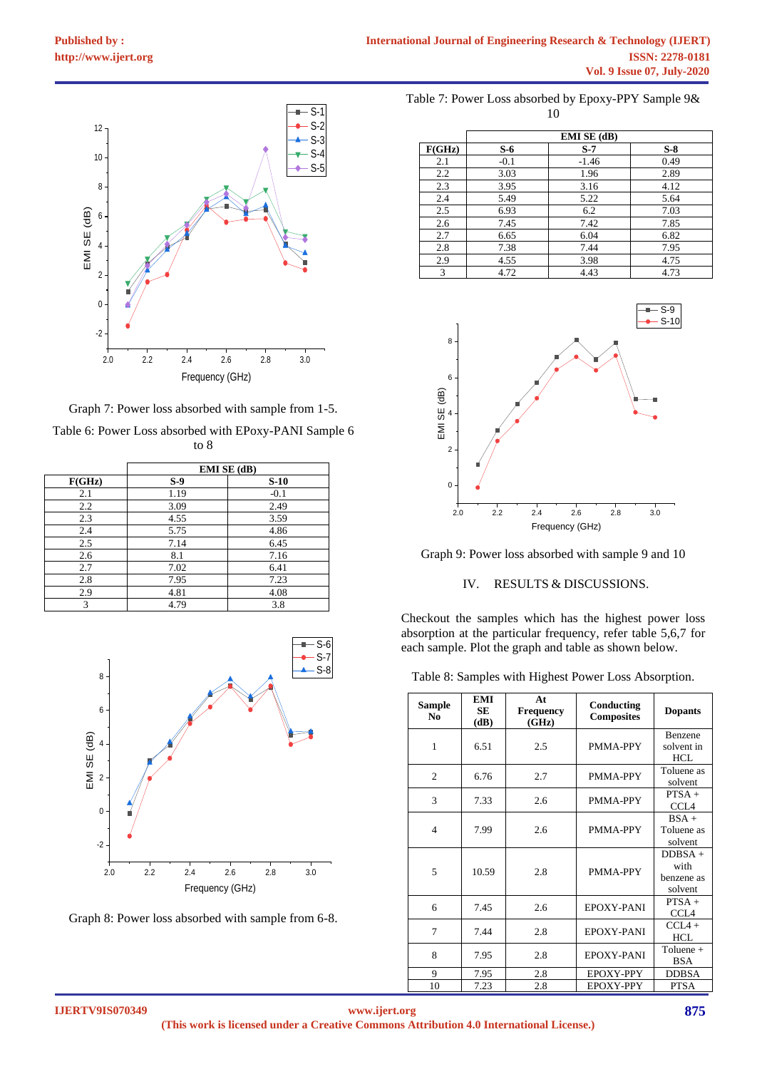

Graph 7: Power loss absorbed with sample from 1-5. Table 6: Power Loss absorbed with EPoxy-PANI Sample 6 to 8

|        | EMI SE (dB) |        |  |  |
|--------|-------------|--------|--|--|
| F(GHz) | $S-9$       | $S-10$ |  |  |
| 2.1    | 1.19        | $-0.1$ |  |  |
| 2.2    | 3.09        | 2.49   |  |  |
| 2.3    | 4.55        | 3.59   |  |  |
| 2.4    | 5.75        | 4.86   |  |  |
| 2.5    | 7.14        | 6.45   |  |  |
| 2.6    | 8.1         | 7.16   |  |  |
| 2.7    | 7.02        | 6.41   |  |  |
| 2.8    | 7.95        | 7.23   |  |  |
| 2.9    | 4.81        | 4.08   |  |  |
| 3      | 4.79        | 3.8    |  |  |



Graph 8: Power loss absorbed with sample from 6-8.

| Table 7: Power Loss absorbed by Epoxy-PPY Sample 9& |  |
|-----------------------------------------------------|--|
|                                                     |  |

|        |        | EMI SE (dB) |       |
|--------|--------|-------------|-------|
| F(GHz) | $S-6$  | $S-7$       | $S-8$ |
| 2.1    | $-0.1$ | $-1.46$     | 0.49  |
| 2.2    | 3.03   | 1.96        | 2.89  |
| 2.3    | 3.95   | 3.16        | 4.12  |
| 2.4    | 5.49   | 5.22        | 5.64  |
| 2.5    | 6.93   | 6.2         | 7.03  |
| 2.6    | 7.45   | 7.42        | 7.85  |
| 2.7    | 6.65   | 6.04        | 6.82  |
| 2.8    | 7.38   | 7.44        | 7.95  |
| 2.9    | 4.55   | 3.98        | 4.75  |
| 3      | 4.72   | 4.43        | 4.73  |



Graph 9: Power loss absorbed with sample 9 and 10

# IV. RESULTS & DISCUSSIONS.

S-6 each sample. Plot the graph and table as shown below. Checkout the samples which has the highest power loss absorption at the particular frequency, refer table 5,6,7 for

| Table 8: Samples with Highest Power Loss Absorption. |  |  |  |  |
|------------------------------------------------------|--|--|--|--|
|                                                      |  |  |  |  |

| Sample<br>No.  | EMI<br>SE<br>(dB) | At<br><b>Frequency</b><br>(GHz) | Conducting<br><b>Composites</b> | <b>Dopants</b>                             |
|----------------|-------------------|---------------------------------|---------------------------------|--------------------------------------------|
| 1              | 6.51              | 2.5                             | PMMA-PPY                        | Benzene<br>solvent in<br>HCL               |
| $\overline{c}$ | 6.76              | 2.7                             | PMMA-PPY                        | Toluene as<br>solvent                      |
| 3              | 7.33              | 2.6                             | PMMA-PPY                        | $PTSA +$<br>CCL <sub>4</sub>               |
| $\overline{4}$ | 7.99              | 2.6                             | PMMA-PPY                        | $BSA +$<br>Toluene as<br>solvent           |
| 5              | 10.59             | 2.8                             | PMMA-PPY                        | $DDBSA +$<br>with<br>benzene as<br>solvent |
| 6              | 7.45              | 2.6                             | EPOXY-PANI                      | $PTSA +$<br>CCL <sub>4</sub>               |
| 7              | 7.44              | 2.8                             | EPOXY-PANI                      | $CCL4 +$<br><b>HCL</b>                     |
| 8              | 7.95              | 2.8                             | <b>EPOXY-PANI</b>               | Toluene +<br>BSA                           |
| 9              | 7.95              | 2.8                             | EPOXY-PPY                       | <b>DDBSA</b>                               |
| 10             | 7.23              | 2.8                             | EPOXY-PPY                       | <b>PTSA</b>                                |